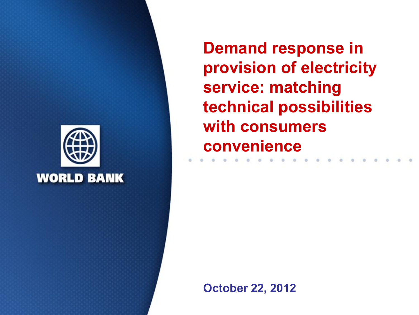

**Demand response in provision of electricity service: matching technical possibilities with consumers convenience** 

**October 22, 2012**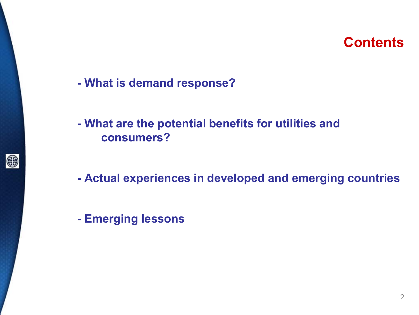#### **Contents**

- **What is demand response?**
- **What are the potential benefits for utilities and consumers?**
- **Actual experiences in developed and emerging countries**
- **Emerging lessons**

●

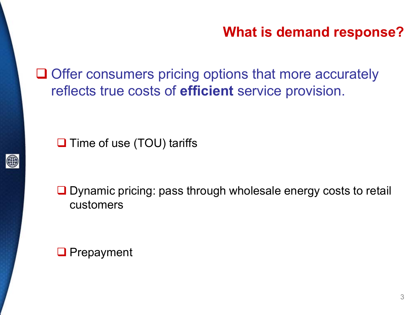#### **What is demand response?**

 $\Box$  Offer consumers pricing options that more accurately reflects true costs of **efficient** service provision.

 $\Box$  Time of use (TOU) tariffs



**□** Dynamic pricing: pass through wholesale energy costs to retail customers

**Q** Prepayment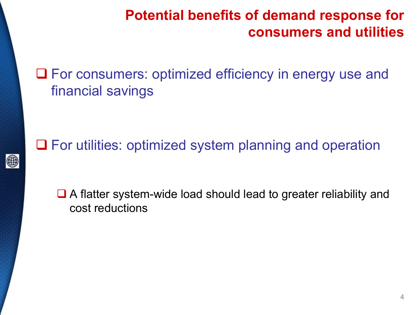## **Potential benefits of demand response for consumers and utilities**

■ For consumers: optimized efficiency in energy use and financial savings

**□** For utilities: optimized system planning and operation

●

■ A flatter system-wide load should lead to greater reliability and cost reductions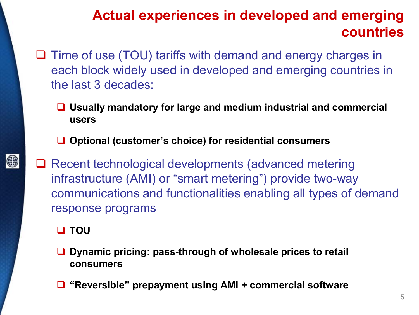# **Actual experiences in developed and emerging countries**

- $\Box$  Time of use (TOU) tariffs with demand and energy charges in each block widely used in developed and emerging countries in the last 3 decades:
	- **Usually mandatory for large and medium industrial and commercial users**
	- **Optional (customer's choice) for residential consumers**
- **□ Recent technological developments (advanced metering** infrastructure (AMI) or "smart metering") provide two-way communications and functionalities enabling all types of demand response programs
	- **D** TOU

- **Dynamic pricing: pass-through of wholesale prices to retail consumers**
- **"Reversible" prepayment using AMI + commercial software**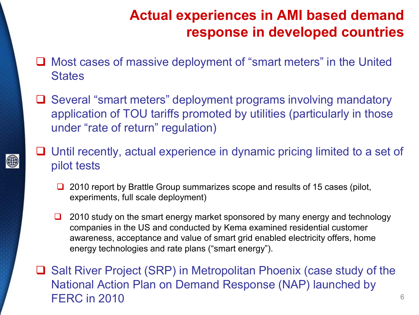# **Actual experiences in AMI based demand response in developed countries**

- Most cases of massive deployment of "smart meters" in the United **States**
- **□** Several "smart meters" deployment programs involving mandatory application of TOU tariffs promoted by utilities (particularly in those under "rate of return" regulation)
- $\Box$  Until recently, actual experience in dynamic pricing limited to a set of pilot tests
	- $\Box$  2010 report by Brattle Group summarizes scope and results of 15 cases (pilot, experiments, full scale deployment)
	- $\Box$  2010 study on the smart energy market sponsored by many energy and technology companies in the US and conducted by Kema examined residential customer awareness, acceptance and value of smart grid enabled electricity offers, home energy technologies and rate plans ("smart energy").
- **□** Salt River Project (SRP) in Metropolitan Phoenix (case study of the National Action Plan on Demand Response (NAP) launched by FERC in 2010 **6**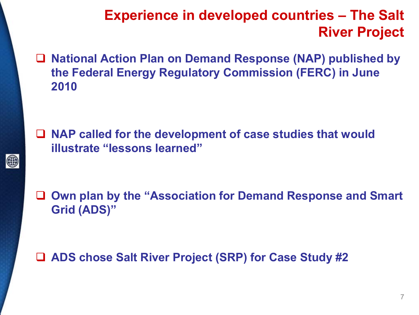## **Experience in developed countries – The Salt River Project**

 **National Action Plan on Demand Response (NAP) published by the Federal Energy Regulatory Commission (FERC) in June 2010**

 **NAP called for the development of case studies that would illustrate "lessons learned"** 

●

 **Own plan by the "Association for Demand Response and Smart Grid (ADS)"** 

#### **ADS chose Salt River Project (SRP) for Case Study #2**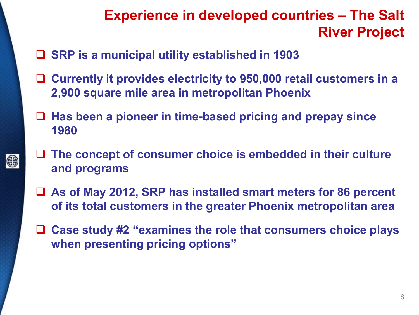# **Experience in developed countries – The Salt River Project**

**SRP is a municipal utility established in 1903** 

- **Currently it provides electricity to 950,000 retail customers in a 2,900 square mile area in metropolitan Phoenix**
- **Has been a pioneer in time-based pricing and prepay since 1980**
- **The concept of consumer choice is embedded in their culture and programs**
- **As of May 2012, SRP has installed smart meters for 86 percent of its total customers in the greater Phoenix metropolitan area**
- **Case study #2 "examines the role that consumers choice plays when presenting pricing options"**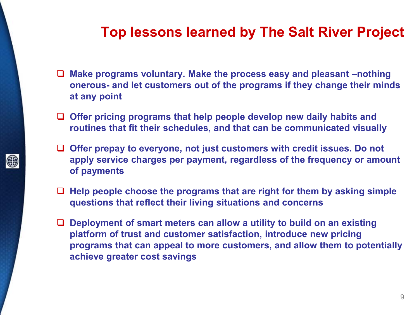#### **Top lessons learned by The Salt River Project**

- **Make programs voluntary. Make the process easy and pleasant –nothing onerous- and let customers out of the programs if they change their minds at any point**
- **Offer pricing programs that help people develop new daily habits and routines that fit their schedules, and that can be communicated visually**

(#

- **Offer prepay to everyone, not just customers with credit issues. Do not apply service charges per payment, regardless of the frequency or amount of payments**
- **Help people choose the programs that are right for them by asking simple questions that reflect their living situations and concerns**
- **Deployment of smart meters can allow a utility to build on an existing platform of trust and customer satisfaction, introduce new pricing programs that can appeal to more customers, and allow them to potentially achieve greater cost savings**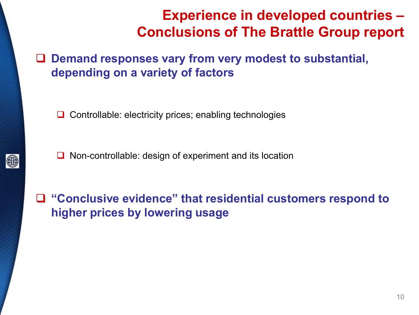## **Experience in developed countries – Conclusions of The Brattle Group report**

 **Demand responses vary from very modest to substantial, depending on a variety of factors** 

 $\Box$  Controllable: electricity prices; enabling technologies

 $\Box$  Non-controllable: design of experiment and its location

 **"Conclusive evidence" that residential customers respond to higher prices by lowering usage** 

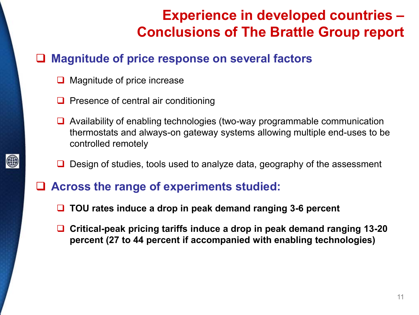# **Experience in developed countries – Conclusions of The Brattle Group report**

#### **Magnitude of price response on several factors**

- $\Box$  Magnitude of price increase
- $\Box$  Presence of central air conditioning
- $\Box$  Availability of enabling technologies (two-way programmable communication thermostats and always-on gateway systems allowing multiple end-uses to be controlled remotely
- Design of studies, tools used to analyze data, geography of the assessment
- **Across the range of experiments studied:** 
	- **TOU rates induce a drop in peak demand ranging 3-6 percent**
	- **Critical-peak pricing tariffs induce a drop in peak demand ranging 13-20 percent (27 to 44 percent if accompanied with enabling technologies)**



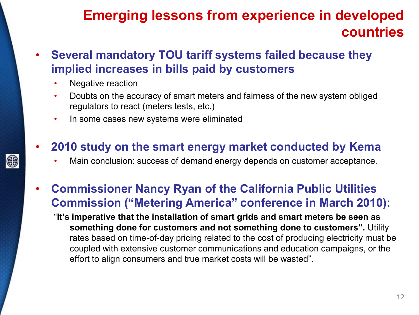#### **Emerging lessons from experience in developed countries**

- **Several mandatory TOU tariff systems failed because they implied increases in bills paid by customers** 
	- Negative reaction

(#

- Doubts on the accuracy of smart meters and fairness of the new system obliged regulators to react (meters tests, etc.)
- In some cases new systems were eliminated
- **2010 study on the smart energy market conducted by Kema** 
	- Main conclusion: success of demand energy depends on customer acceptance.
- **Commissioner Nancy Ryan of the California Public Utilities Commission ("Metering America" conference in March 2010):** 
	- "**It's imperative that the installation of smart grids and smart meters be seen as something done for customers and not something done to customers".** Utility rates based on time-of-day pricing related to the cost of producing electricity must be coupled with extensive customer communications and education campaigns, or the effort to align consumers and true market costs will be wasted".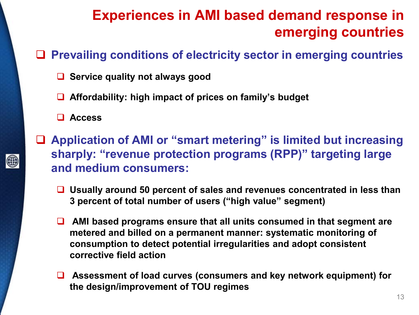# **Experiences in AMI based demand response in emerging countries**

#### **Prevailing conditions of electricity sector in emerging countries**

- **Service quality not always good**
- **Affordability: high impact of prices on family's budget**
- **Access**

- **Application of AMI or "smart metering" is limited but increasing sharply: "revenue protection programs (RPP)" targeting large and medium consumers:** 
	- **Usually around 50 percent of sales and revenues concentrated in less than 3 percent of total number of users ("high value" segment)**
	- AMI based programs ensure that all units consumed in that segment are **metered and billed on a permanent manner: systematic monitoring of consumption to detect potential irregularities and adopt consistent corrective field action**
	- **Assessment of load curves (consumers and key network equipment) for the design/improvement of TOU regimes**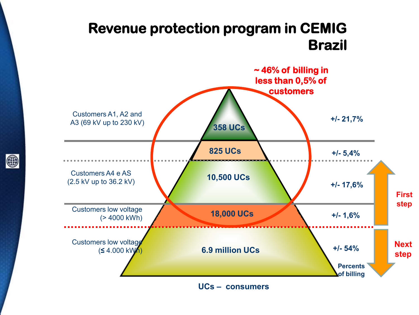#### **Revenue protection program in CEMIG Brazil**



**UCs – consumers** 

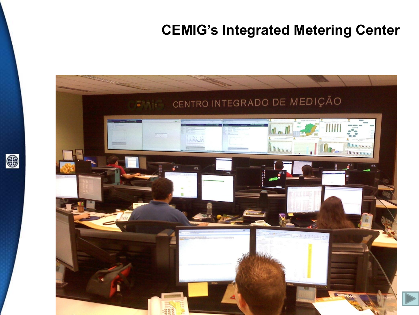## **CEMIG's Integrated Metering Center**



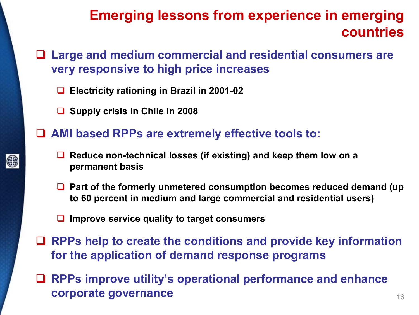#### **Emerging lessons from experience in emerging countries**

- **Large and medium commercial and residential consumers are very responsive to high price increases** 
	- **Electricity rationing in Brazil in 2001-02**
	- **Supply crisis in Chile in 2008**
- **AMI based RPPs are extremely effective tools to:** 
	- Reduce non-technical losses (if existing) and keep them low on a **permanent basis**
	- Part of the formerly unmetered consumption becomes reduced demand (up **to 60 percent in medium and large commercial and residential users)**
	- **Improve service quality to target consumers**
- **RPPs help to create the conditions and provide key information for the application of demand response programs**
- **RPPs improve utility's operational performance and enhance corporate governance 16 corporate governance 16 corporate governance**